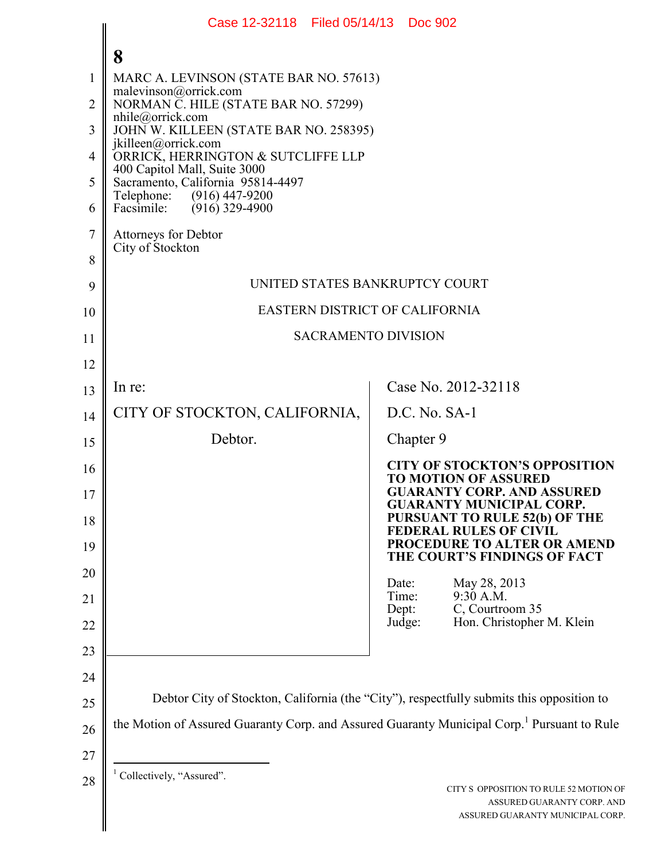|          | Case 12-32118 Filed 05/14/13 Doc 902                                                                    |                                                                                                          |  |  |  |
|----------|---------------------------------------------------------------------------------------------------------|----------------------------------------------------------------------------------------------------------|--|--|--|
|          | 8                                                                                                       |                                                                                                          |  |  |  |
| 1        | MARC A. LEVINSON (STATE BAR NO. 57613)                                                                  |                                                                                                          |  |  |  |
| 2        | malevinson@orrick.com<br>NORMAN C. HILE (STATE BAR NO. 57299)                                           |                                                                                                          |  |  |  |
| 3        | $n$ hile@orrick.com<br>JOHN W. KILLEEN (STATE BAR NO. 258395)                                           |                                                                                                          |  |  |  |
| 4        | jkilleen@orrick.com<br>ORRICK, HERRINGTON & SUTCLIFFE LLP<br>400 Capitol Mall, Suite 3000               |                                                                                                          |  |  |  |
| 5        | Sacramento, California 95814-4497<br>Telephone: (916) 447-9200                                          |                                                                                                          |  |  |  |
| 6        | Facsimile:<br>$(916)$ 329-4900                                                                          |                                                                                                          |  |  |  |
| 7        | <b>Attorneys for Debtor</b><br>City of Stockton                                                         |                                                                                                          |  |  |  |
| 8        |                                                                                                         |                                                                                                          |  |  |  |
| 9        | UNITED STATES BANKRUPTCY COURT                                                                          |                                                                                                          |  |  |  |
| 10       | EASTERN DISTRICT OF CALIFORNIA                                                                          |                                                                                                          |  |  |  |
| 11       | <b>SACRAMENTO DIVISION</b>                                                                              |                                                                                                          |  |  |  |
| 12       |                                                                                                         |                                                                                                          |  |  |  |
| 13       | In re:                                                                                                  | Case No. 2012-32118<br>$D.C.$ No. $SA-1$                                                                 |  |  |  |
| 14       | CITY OF STOCKTON, CALIFORNIA,<br>Debtor.                                                                |                                                                                                          |  |  |  |
| 15       |                                                                                                         | Chapter 9                                                                                                |  |  |  |
| 16       |                                                                                                         | <b>CITY OF STOCKTON'S OPPOSITION</b><br><b>TO MOTION OF ASSURED</b><br><b>GUARANTY CORP. AND ASSURED</b> |  |  |  |
| 17<br>18 |                                                                                                         | <b>GUARANTY MUNICIPAL CORP.</b><br><b>PURSUANT TO RULE 52(b) OF THE</b>                                  |  |  |  |
| 19       |                                                                                                         | <b>FEDERAL RULES OF CIVIL</b><br>PROCEDURE TO ALTER OR AMEND                                             |  |  |  |
| 20       |                                                                                                         | THE COURT'S FINDINGS OF FACT                                                                             |  |  |  |
| 21       |                                                                                                         | May 28, 2013<br>Date:<br>Time:<br>9:30 A.M.                                                              |  |  |  |
| 22       |                                                                                                         | Dept:<br>C, Courtroom 35<br>Judge:<br>Hon. Christopher M. Klein                                          |  |  |  |
| 23       |                                                                                                         |                                                                                                          |  |  |  |
| 24       |                                                                                                         |                                                                                                          |  |  |  |
| 25       | Debtor City of Stockton, California (the "City"), respectfully submits this opposition to               |                                                                                                          |  |  |  |
| 26       | the Motion of Assured Guaranty Corp. and Assured Guaranty Municipal Corp. <sup>1</sup> Pursuant to Rule |                                                                                                          |  |  |  |
| 27       |                                                                                                         |                                                                                                          |  |  |  |
| 28       | Collectively, "Assured".                                                                                | CITY S OPPOSITION TO RULE 52 MOTION OF<br>ASSURED GUARANTY CORP. AND<br>ASSURED GUARANTY MUNICIPAL CORP. |  |  |  |
|          |                                                                                                         |                                                                                                          |  |  |  |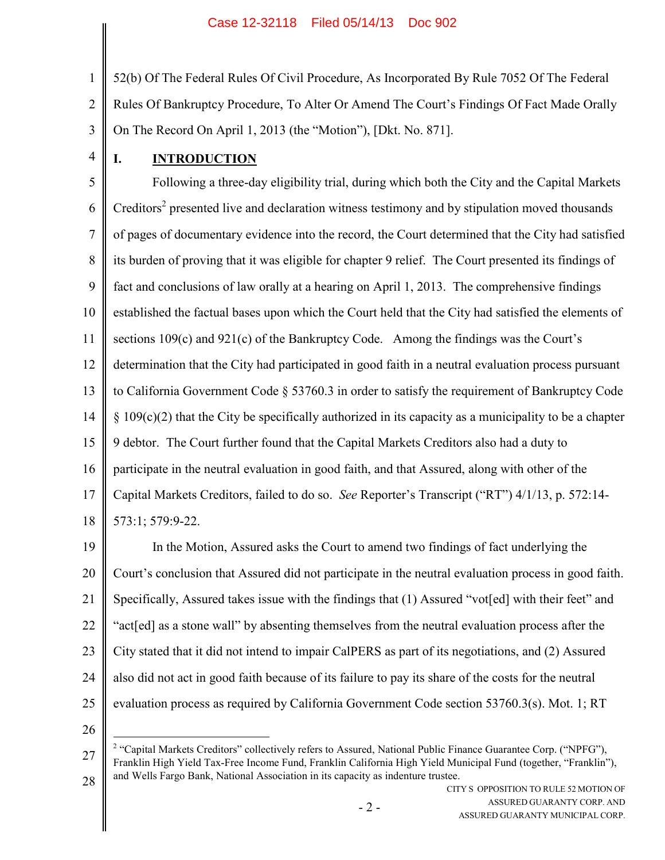1 2 3 52(b) Of The Federal Rules Of Civil Procedure, As Incorporated By Rule 7052 Of The Federal Rules Of Bankruptcy Procedure, To Alter Or Amend The Court's Findings Of Fact Made Orally On The Record On April 1, 2013 (the "Motion"), [Dkt. No. 871].

4

# **I. INTRODUCTION**

5 6 7 8 9 10 11 12 13 14 15 16 17 18 Following a three-day eligibility trial, during which both the City and the Capital Markets Creditors<sup>2</sup> presented live and declaration witness testimony and by stipulation moved thousands of pages of documentary evidence into the record, the Court determined that the City had satisfied its burden of proving that it was eligible for chapter 9 relief. The Court presented its findings of fact and conclusions of law orally at a hearing on April 1, 2013. The comprehensive findings established the factual bases upon which the Court held that the City had satisfied the elements of sections 109(c) and 921(c) of the Bankruptcy Code. Among the findings was the Court's determination that the City had participated in good faith in a neutral evaluation process pursuant to California Government Code § 53760.3 in order to satisfy the requirement of Bankruptcy Code § 109(c)(2) that the City be specifically authorized in its capacity as a municipality to be a chapter 9 debtor. The Court further found that the Capital Markets Creditors also had a duty to participate in the neutral evaluation in good faith, and that Assured, along with other of the Capital Markets Creditors, failed to do so. *See* Reporter's Transcript ("RT") 4/1/13, p. 572:14- 573:1; 579:9-22.

19 20 21 22 23 24 25 In the Motion, Assured asks the Court to amend two findings of fact underlying the Court's conclusion that Assured did not participate in the neutral evaluation process in good faith. Specifically, Assured takes issue with the findings that (1) Assured "vot[ed] with their feet" and "act[ed] as a stone wall" by absenting themselves from the neutral evaluation process after the City stated that it did not intend to impair CalPERS as part of its negotiations, and (2) Assured also did not act in good faith because of its failure to pay its share of the costs for the neutral evaluation process as required by California Government Code section 53760.3(s). Mot. 1; RT

<sup>27</sup> <sup>2</sup> "Capital Markets Creditors" collectively refers to Assured, National Public Finance Guarantee Corp. ("NPFG"), Franklin High Yield Tax-Free Income Fund, Franklin California High Yield Municipal Fund (together, "Franklin"), and Wells Fargo Bank, National Association in its capacity as indenture trustee.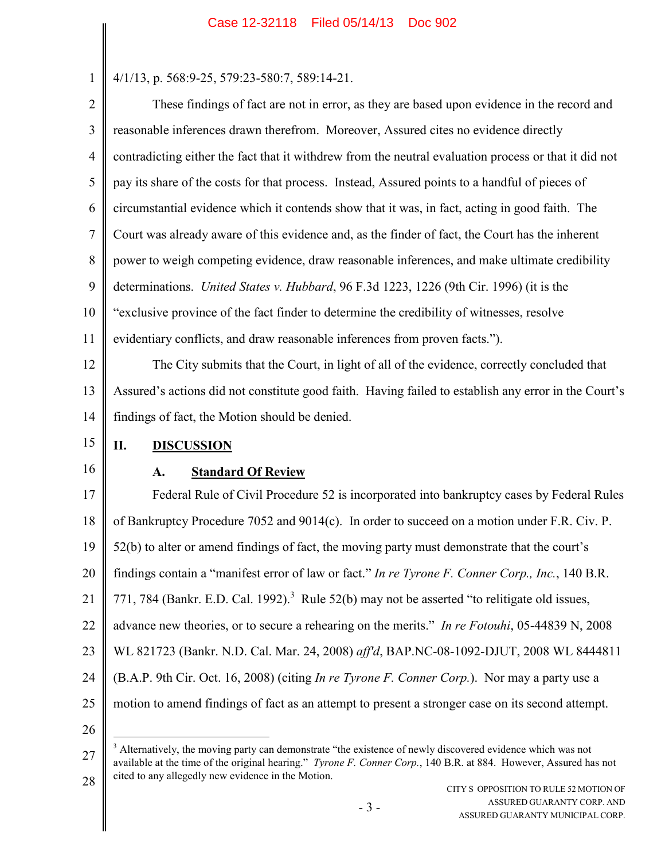4/1/13, p. 568:9-25, 579:23-580:7, 589:14-21.

2 3 4 5 6 7 8 9 10 11 12 These findings of fact are not in error, as they are based upon evidence in the record and reasonable inferences drawn therefrom. Moreover, Assured cites no evidence directly contradicting either the fact that it withdrew from the neutral evaluation process or that it did not pay its share of the costs for that process. Instead, Assured points to a handful of pieces of circumstantial evidence which it contends show that it was, in fact, acting in good faith. The Court was already aware of this evidence and, as the finder of fact, the Court has the inherent power to weigh competing evidence, draw reasonable inferences, and make ultimate credibility determinations. *United States v. Hubbard*, 96 F.3d 1223, 1226 (9th Cir. 1996) (it is the "exclusive province of the fact finder to determine the credibility of witnesses, resolve evidentiary conflicts, and draw reasonable inferences from proven facts."). The City submits that the Court, in light of all of the evidence, correctly concluded that

13 14 Assured's actions did not constitute good faith. Having failed to establish any error in the Court's findings of fact, the Motion should be denied.

#### 15 **II. DISCUSSION**

16

1

## **A. Standard Of Review**

17 18 19 20 21 22 23 24 25 26 Federal Rule of Civil Procedure 52 is incorporated into bankruptcy cases by Federal Rules of Bankruptcy Procedure 7052 and 9014(c). In order to succeed on a motion under F.R. Civ. P. 52(b) to alter or amend findings of fact, the moving party must demonstrate that the court's findings contain a "manifest error of law or fact." *In re Tyrone F. Conner Corp., Inc.*, 140 B.R. 771, 784 (Bankr. E.D. Cal. 1992).<sup>3</sup> Rule 52(b) may not be asserted "to relitigate old issues, advance new theories, or to secure a rehearing on the merits." *In re Fotouhi*, 05-44839 N, 2008 WL 821723 (Bankr. N.D. Cal. Mar. 24, 2008) *aff'd*, BAP.NC-08-1092-DJUT, 2008 WL 8444811 (B.A.P. 9th Cir. Oct. 16, 2008) (citing *In re Tyrone F. Conner Corp.*). Nor may a party use a motion to amend findings of fact as an attempt to present a stronger case on its second attempt.

CITY S OPPOSITION TO RULE 52 MOTION OF ASSURED GUARANTY CORP. AND ASSURED GUARANTY MUNICIPAL CORP.

<sup>27</sup> 28 <sup>3</sup> Alternatively, the moving party can demonstrate "the existence of newly discovered evidence which was not available at the time of the original hearing." *Tyrone F. Conner Corp.*, 140 B.R. at 884. However, Assured has not cited to any allegedly new evidence in the Motion.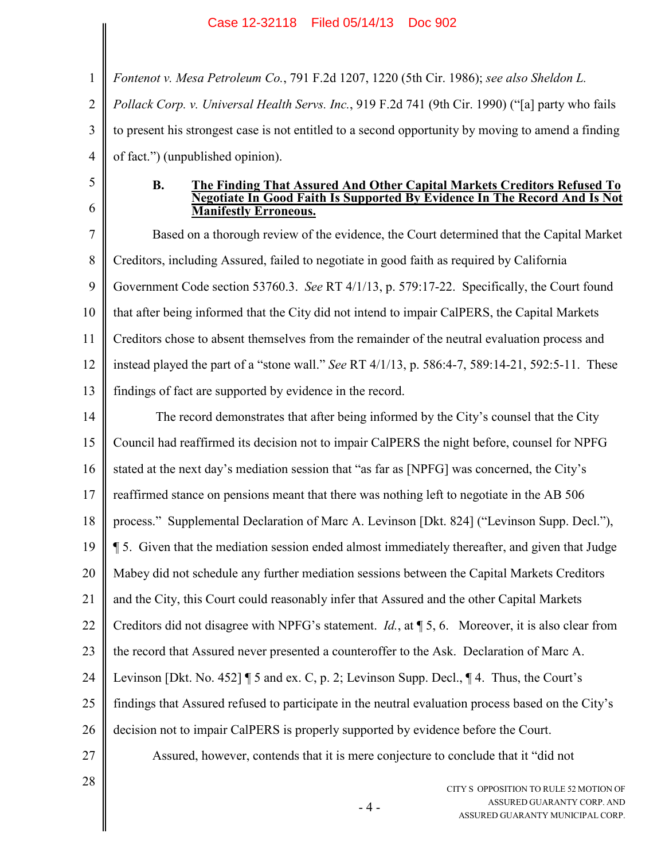1 2 3 4 *Fontenot v. Mesa Petroleum Co.*, 791 F.2d 1207, 1220 (5th Cir. 1986); *see also Sheldon L. Pollack Corp. v. Universal Health Servs. Inc.*, 919 F.2d 741 (9th Cir. 1990) ("[a] party who fails to present his strongest case is not entitled to a second opportunity by moving to amend a finding of fact.") (unpublished opinion).

- 5
- 6

### **B. The Finding That Assured And Other Capital Markets Creditors Refused To Negotiate In Good Faith Is Supported By Evidence In The Record And Is Not Manifestly Erroneous.**

7 8 9 10 11 12 13 Based on a thorough review of the evidence, the Court determined that the Capital Market Creditors, including Assured, failed to negotiate in good faith as required by California Government Code section 53760.3. *See* RT 4/1/13, p. 579:17-22. Specifically, the Court found that after being informed that the City did not intend to impair CalPERS, the Capital Markets Creditors chose to absent themselves from the remainder of the neutral evaluation process and instead played the part of a "stone wall." *See* RT 4/1/13, p. 586:4-7, 589:14-21, 592:5-11. These findings of fact are supported by evidence in the record.

- 14 15 16 17 18 19 20 21 22 23 24 25 26 27 The record demonstrates that after being informed by the City's counsel that the City Council had reaffirmed its decision not to impair CalPERS the night before, counsel for NPFG stated at the next day's mediation session that "as far as [NPFG] was concerned, the City's reaffirmed stance on pensions meant that there was nothing left to negotiate in the AB 506 process." Supplemental Declaration of Marc A. Levinson [Dkt. 824] ("Levinson Supp. Decl."), ¶ 5. Given that the mediation session ended almost immediately thereafter, and given that Judge Mabey did not schedule any further mediation sessions between the Capital Markets Creditors and the City, this Court could reasonably infer that Assured and the other Capital Markets Creditors did not disagree with NPFG's statement. *Id.*, at ¶ 5, 6. Moreover, it is also clear from the record that Assured never presented a counteroffer to the Ask. Declaration of Marc A. Levinson [Dkt. No. 452] ¶ 5 and ex. C, p. 2; Levinson Supp. Decl., ¶ 4. Thus, the Court's findings that Assured refused to participate in the neutral evaluation process based on the City's decision not to impair CalPERS is properly supported by evidence before the Court. Assured, however, contends that it is mere conjecture to conclude that it "did not
- 28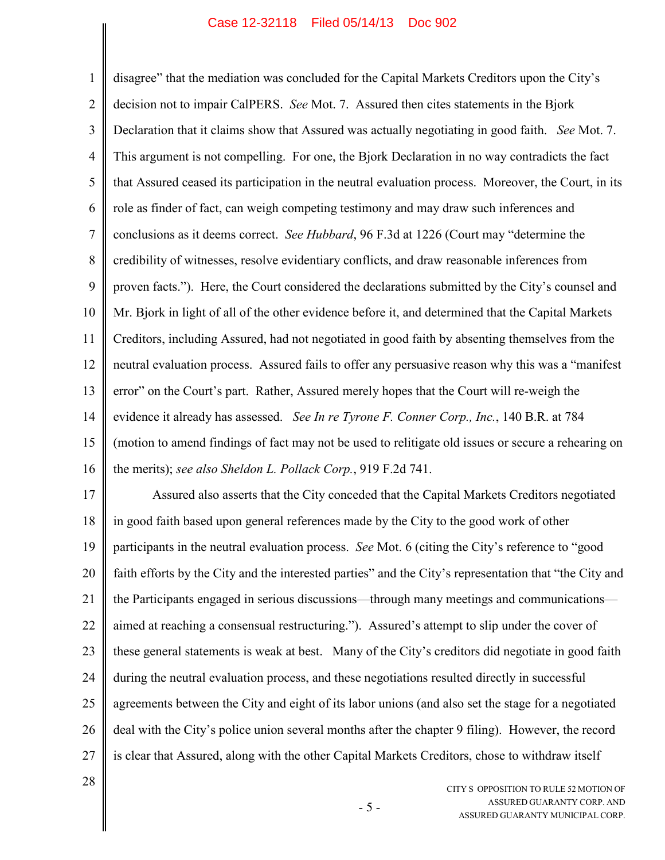#### Case 12-32118 Filed 05/14/13 Doc 902

1 2 3 4 5 6 7 8 9 10 11 12 13 14 15 16 disagree" that the mediation was concluded for the Capital Markets Creditors upon the City's decision not to impair CalPERS. *See* Mot. 7. Assured then cites statements in the Bjork Declaration that it claims show that Assured was actually negotiating in good faith. *See* Mot. 7. This argument is not compelling. For one, the Bjork Declaration in no way contradicts the fact that Assured ceased its participation in the neutral evaluation process. Moreover, the Court, in its role as finder of fact, can weigh competing testimony and may draw such inferences and conclusions as it deems correct. *See Hubbard*, 96 F.3d at 1226 (Court may "determine the credibility of witnesses, resolve evidentiary conflicts, and draw reasonable inferences from proven facts."). Here, the Court considered the declarations submitted by the City's counsel and Mr. Bjork in light of all of the other evidence before it, and determined that the Capital Markets Creditors, including Assured, had not negotiated in good faith by absenting themselves from the neutral evaluation process. Assured fails to offer any persuasive reason why this was a "manifest error" on the Court's part. Rather, Assured merely hopes that the Court will re-weigh the evidence it already has assessed. *See In re Tyrone F. Conner Corp., Inc.*, 140 B.R. at 784 (motion to amend findings of fact may not be used to relitigate old issues or secure a rehearing on the merits); *see also Sheldon L. Pollack Corp.*, 919 F.2d 741.

17 18 19 20 21 22 23 24 25 26 27 Assured also asserts that the City conceded that the Capital Markets Creditors negotiated in good faith based upon general references made by the City to the good work of other participants in the neutral evaluation process. *See* Mot. 6 (citing the City's reference to "good faith efforts by the City and the interested parties" and the City's representation that "the City and the Participants engaged in serious discussions—through many meetings and communications aimed at reaching a consensual restructuring."). Assured's attempt to slip under the cover of these general statements is weak at best. Many of the City's creditors did negotiate in good faith during the neutral evaluation process, and these negotiations resulted directly in successful agreements between the City and eight of its labor unions (and also set the stage for a negotiated deal with the City's police union several months after the chapter 9 filing). However, the record is clear that Assured, along with the other Capital Markets Creditors, chose to withdraw itself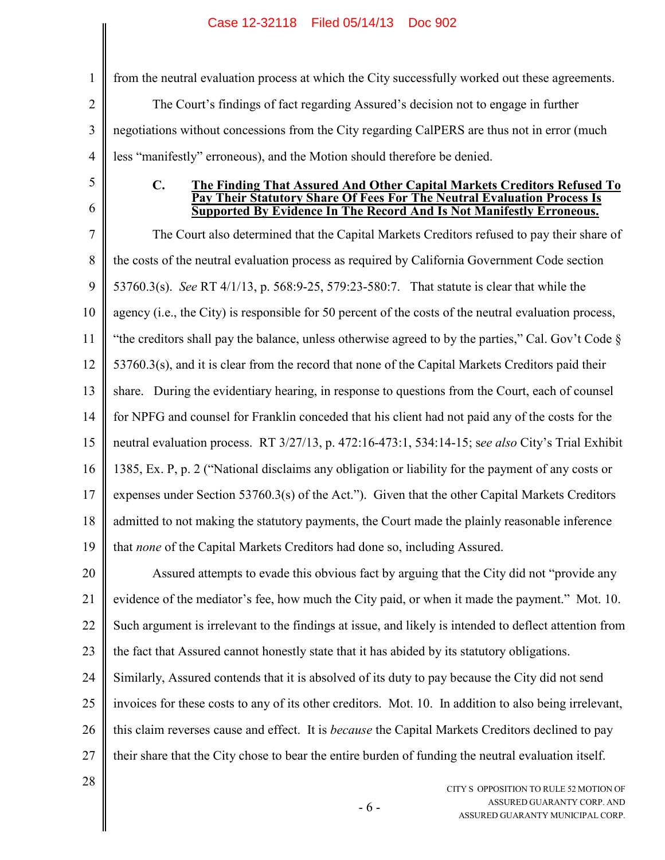1 2 3 4 from the neutral evaluation process at which the City successfully worked out these agreements. The Court's findings of fact regarding Assured's decision not to engage in further negotiations without concessions from the City regarding CalPERS are thus not in error (much less "manifestly" erroneous), and the Motion should therefore be denied.

- 5
- 6

### **C. The Finding That Assured And Other Capital Markets Creditors Refused To Pay Their Statutory Share Of Fees For The Neutral Evaluation Process Is Supported By Evidence In The Record And Is Not Manifestly Erroneous.**

7 8 9 10 11 12 13 14 15 16 17 18 19 The Court also determined that the Capital Markets Creditors refused to pay their share of the costs of the neutral evaluation process as required by California Government Code section 53760.3(s). *See* RT 4/1/13, p. 568:9-25, 579:23-580:7. That statute is clear that while the agency (i.e., the City) is responsible for 50 percent of the costs of the neutral evaluation process, "the creditors shall pay the balance, unless otherwise agreed to by the parties," Cal. Gov't Code § 53760.3(s), and it is clear from the record that none of the Capital Markets Creditors paid their share. During the evidentiary hearing, in response to questions from the Court, each of counsel for NPFG and counsel for Franklin conceded that his client had not paid any of the costs for the neutral evaluation process. RT 3/27/13, p. 472:16-473:1, 534:14-15; s*ee also* City's Trial Exhibit 1385, Ex. P, p. 2 ("National disclaims any obligation or liability for the payment of any costs or expenses under Section 53760.3(s) of the Act."). Given that the other Capital Markets Creditors admitted to not making the statutory payments, the Court made the plainly reasonable inference that *none* of the Capital Markets Creditors had done so, including Assured.

20 21 22 23 Assured attempts to evade this obvious fact by arguing that the City did not "provide any evidence of the mediator's fee, how much the City paid, or when it made the payment." Mot. 10. Such argument is irrelevant to the findings at issue, and likely is intended to deflect attention from the fact that Assured cannot honestly state that it has abided by its statutory obligations.

24 25 26 27 Similarly, Assured contends that it is absolved of its duty to pay because the City did not send invoices for these costs to any of its other creditors. Mot. 10. In addition to also being irrelevant, this claim reverses cause and effect. It is *because* the Capital Markets Creditors declined to pay their share that the City chose to bear the entire burden of funding the neutral evaluation itself.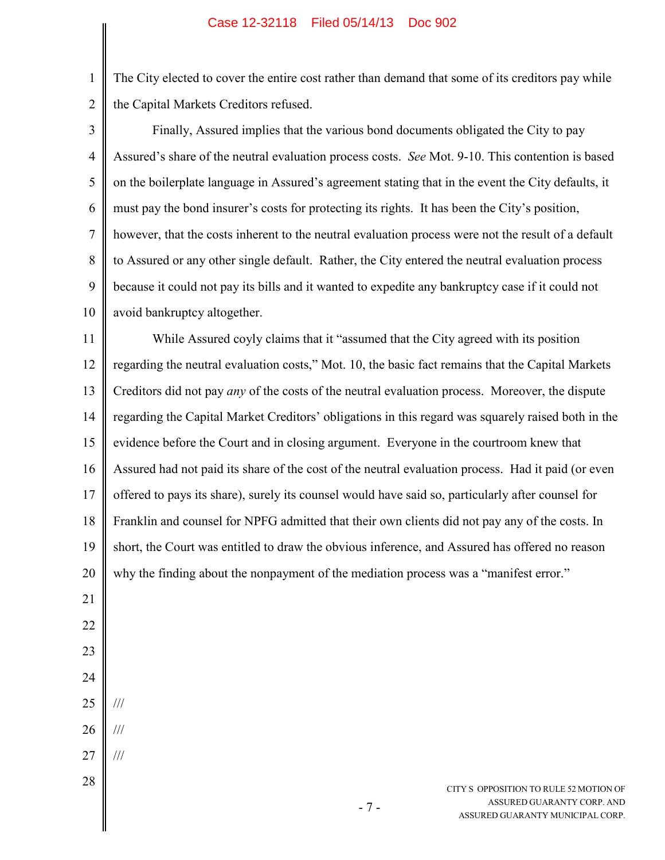1 2 The City elected to cover the entire cost rather than demand that some of its creditors pay while the Capital Markets Creditors refused.

| 3              | Finally, Assured implies that the various bond documents obligated the City to pay                     |  |  |
|----------------|--------------------------------------------------------------------------------------------------------|--|--|
| $\overline{4}$ | Assured's share of the neutral evaluation process costs. See Mot. 9-10. This contention is based       |  |  |
| 5              | on the boilerplate language in Assured's agreement stating that in the event the City defaults, it     |  |  |
| 6              | must pay the bond insurer's costs for protecting its rights. It has been the City's position,          |  |  |
| $\tau$         | however, that the costs inherent to the neutral evaluation process were not the result of a default    |  |  |
| 8              | to Assured or any other single default. Rather, the City entered the neutral evaluation process        |  |  |
| 9              | because it could not pay its bills and it wanted to expedite any bankruptcy case if it could not       |  |  |
| 10             | avoid bankruptcy altogether.                                                                           |  |  |
| 11             | While Assured coyly claims that it "assumed that the City agreed with its position                     |  |  |
| 12             | regarding the neutral evaluation costs," Mot. 10, the basic fact remains that the Capital Markets      |  |  |
| 13             | Creditors did not pay <i>any</i> of the costs of the neutral evaluation process. Moreover, the dispute |  |  |
| 14             | regarding the Capital Market Creditors' obligations in this regard was squarely raised both in the     |  |  |
| 15             | evidence before the Court and in closing argument. Everyone in the courtroom knew that                 |  |  |
| 16             | Assured had not paid its share of the cost of the neutral evaluation process. Had it paid (or even     |  |  |
| 17             | offered to pays its share), surely its counsel would have said so, particularly after counsel for      |  |  |
| 18             | Franklin and counsel for NPFG admitted that their own clients did not pay any of the costs. In         |  |  |
| 19             | short, the Court was entitled to draw the obvious inference, and Assured has offered no reason         |  |  |
| 20             | why the finding about the nonpayment of the mediation process was a "manifest error."                  |  |  |
| 21             |                                                                                                        |  |  |
| 22             |                                                                                                        |  |  |
| 23             |                                                                                                        |  |  |
| 24             |                                                                                                        |  |  |
| 25             | ///                                                                                                    |  |  |
| 26             | ///                                                                                                    |  |  |
| 27             | $\frac{1}{1}$                                                                                          |  |  |
| 28             | CITY S OPPOSITION TO RULE 52 MOTION OF                                                                 |  |  |
|                | ASSURED GUARANTY CORP. AND<br>$-7-$                                                                    |  |  |